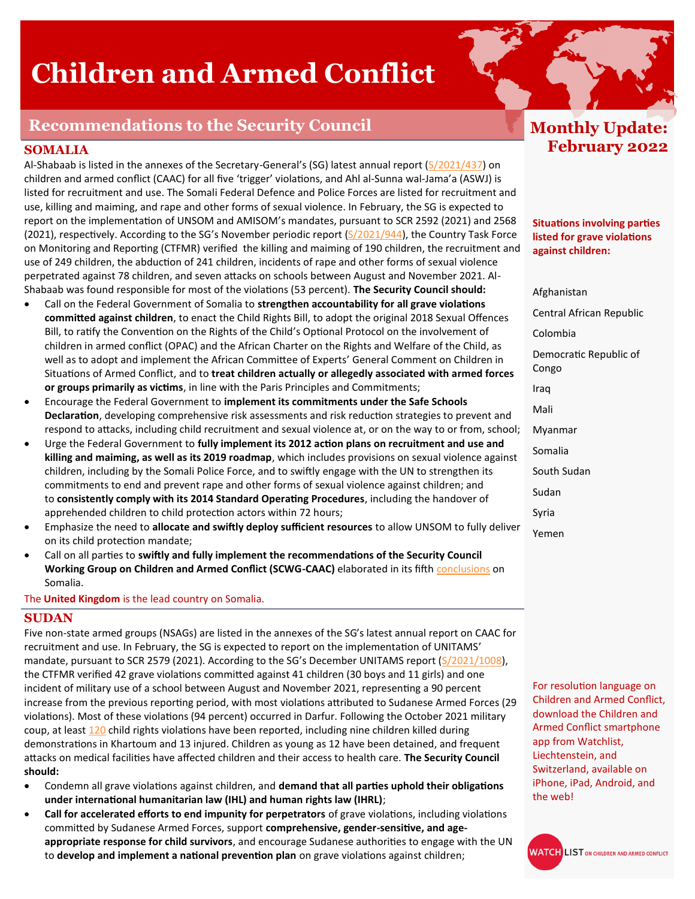# **Children and Armed Conflict**

## **Recommendations to the Security Council**

## **SOMALIA**

Al-Shabaab is listed in the annexes of the Secretary-General's (SG) latest annual report ([S/2021/437\)](https://undocs.org/S/2021/437) on children and armed conflict (CAAC) for all five 'trigger' violations, and Ahl al-Sunna wal-Jama'a (ASWJ) is listed for recruitment and use. The Somali Federal Defence and Police Forces are listed for recruitment and use, killing and maiming, and rape and other forms of sexual violence. In February, the SG is expected to report on the implementation of UNSOM and AMISOM's mandates, pursuant to SCR 2592 (2021) and 2568 (2021), respectively. According to the SG's November periodic report ([S/2021/944\)](https://undocs.org/s/2021/944), the Country Task Force on Monitoring and Reporting (CTFMR) verified the killing and maiming of 190 children, the recruitment and use of 249 children, the abduction of 241 children, incidents of rape and other forms of sexual violence perpetrated against 78 children, and seven attacks on schools between August and November 2021. Al-Shabaab was found responsible for most of the violations (53 percent). **The Security Council should:**

- Call on the Federal Government of Somalia to **strengthen accountability for all grave violations committed against children**, to enact the Child Rights Bill, to adopt the original 2018 Sexual Offences Bill, to ratify the Convention on the Rights of the Child's Optional Protocol on the involvement of children in armed conflict (OPAC) and the African Charter on the Rights and Welfare of the Child, as well as to adopt and implement the African Committee of Experts' General Comment on Children in Situations of Armed Conflict, and to **treat children actually or allegedly associated with armed forces or groups primarily as victims**, in line with the Paris Principles and Commitments;
- Encourage the Federal Government to **implement its commitments under the Safe Schools Declaration**, developing comprehensive risk assessments and risk reduction strategies to prevent and respond to attacks, including child recruitment and sexual violence at, or on the way to or from, school;
- Urge the Federal Government to **fully implement its 2012 action plans on recruitment and use and killing and maiming, as well as its 2019 roadmap**, which includes provisions on sexual violence against children, including by the Somali Police Force, and to swiftly engage with the UN to strengthen its commitments to end and prevent rape and other forms of sexual violence against children; and to **consistently comply with its 2014 Standard Operating Procedures**, including the handover of apprehended children to child protection actors within 72 hours;
- Emphasize the need to **allocate and swiftly deploy sufficient resources** to allow UNSOM to fully deliver on its child protection mandate;
- Call on all parties to **swiftly and fully implement the recommendations of the Security Council Working Group on Children and Armed Conflict (SCWG-CAAC)** elaborated in its fifth [conclusions](https://www.undocs.org/en/S/AC.51/2020/6) on Somalia.

The **United Kingdom** is the lead country on Somalia.

#### **SUDAN**

Five non-state armed groups (NSAGs) are listed in the annexes of the SG's latest annual report on CAAC for recruitment and use. In February, the SG is expected to report on the implementation of UNITAMS' mandate, pursuant to SCR 2579 (2021). According to the SG's December UNITAMS report [\(S/2021/1008\)](https://undocs.org/s/2021/1008), the CTFMR verified 42 grave violations committed against 41 children (30 boys and 11 girls) and one incident of military use of a school between August and November 2021, representing a 90 percent increase from the previous reporting period, with most violations attributed to Sudanese Armed Forces (29 violations). Most of these violations (94 percent) occurred in Darfur. Following the October 2021 military coup, at least [120](https://www.unicef.org/press-releases/child-rights-violations-against-children-sudan-must-stop) child rights violations have been reported, including nine children killed during demonstrations in Khartoum and 13 injured. Children as young as 12 have been detained, and frequent attacks on medical facilities have affected children and their access to health care. **The Security Council should:**

- Condemn all grave violations against children, and **demand that all parties uphold their obligations under international humanitarian law (IHL) and human rights law (IHRL)**;
- **Call for accelerated efforts to end impunity for perpetrators** of grave violations, including violations committed by Sudanese Armed Forces, support **comprehensive, gender-sensitive, and ageappropriate response for child survivors**, and encourage Sudanese authorities to engage with the UN to **develop and implement a national prevention plan** on grave violations against children;

# **Monthly Update: February 2022**

**Situations involving parties listed for grave violations against children:** 

Afghanistan Central African Republic Colombia Democratic Republic of Congo Iraq Mali Myanmar Somalia South Sudan Sudan Syria Yemen

For resolution language on Children and Armed Conflict, download the Children and Armed Conflict smartphone app from Watchlist, Liechtenstein, and Switzerland, available on iPhone, iPad, Android, and the web!